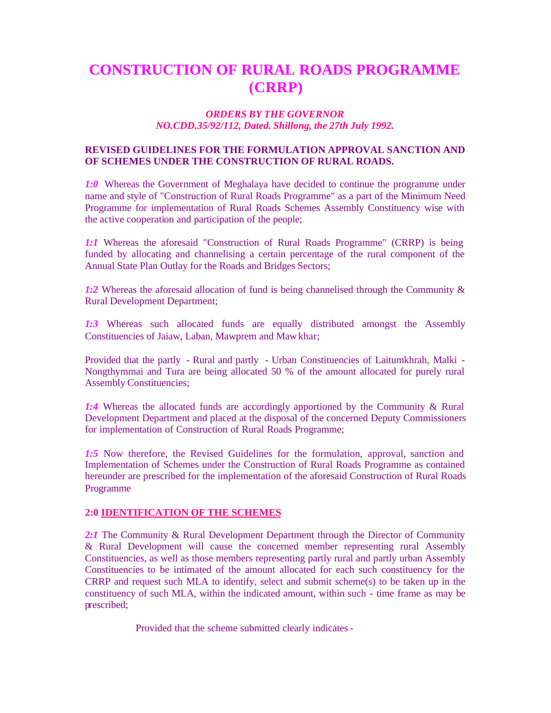# **CONSTRUCTION OF RURAL ROADS PROGRAMME (CRRP)**

# *ORDERS BY THE GOVERNOR NO.CDD.35/92/112, Dated. Shillong, the 27th July 1992.*

# **REVISED GUIDELINES FOR THE FORMULATION APPROVAL SANCTION AND OF SCHEMES UNDER THE CONSTRUCTION OF RURAL ROADS.**

*1:0* Whereas the Government of Meghalaya have decided to continue the programme under name and style of "Construction of Rural Roads Programme" as a part of the Minimum Need Programme for implementation of Rural Roads Schemes Assembly Constituency wise with the active cooperation and participation of the people;

*1:1* Whereas the aforesaid "Construction of Rural Roads Programme" (CRRP) is being funded by allocating and channelising a certain percentage of the rural component of the Annual State Plan Outlay for the Roads and Bridges Sectors;

1:2 Whereas the aforesaid allocation of fund is being channelised through the Community & Rural Development Department;

*1:3* Whereas such allocated funds are equally distributed amongst the Assembly Constituencies of Jaiaw, Laban, Mawprem and Mawkhar;

Provided that the partly - Rural and partly - Urban Constituencies of Laitumkhrah, Malki - Nongthymmai and Tura are being allocated 50 % of the amount allocated for purely rural Assembly Constituencies;

*1:4* Whereas the allocated funds are accordingly apportioned by the Community & Rural Development Department and placed at the disposal of the concerned Deputy Commissioners for implementation of Construction of Rural Roads Programme;

*1:5* Now therefore, the Revised Guidelines for the formulation, approval, sanction and Implementation of Schemes under the Construction of Rural Roads Programme as contained hereunder are prescribed for the implementation of the aforesaid Construction of Rural Roads Programme

# **2:0 IDENTIFICATION OF THE SCHEMES**

2:1 The Community & Rural Development Department through the Director of Community & Rural Development will cause the concerned member representing rural Assembly Constituencies, as well as those members representing partly rural and partly urban Assembly Constituencies to be intimated of the amount allocated for each such constituency for the CRRP and request such MLA to identify, select and submit scheme(s) to be taken up in the constituency of such MLA, within the indicated amount, within such - time frame as may be prescribed;

Provided that the scheme submitted clearly indicates -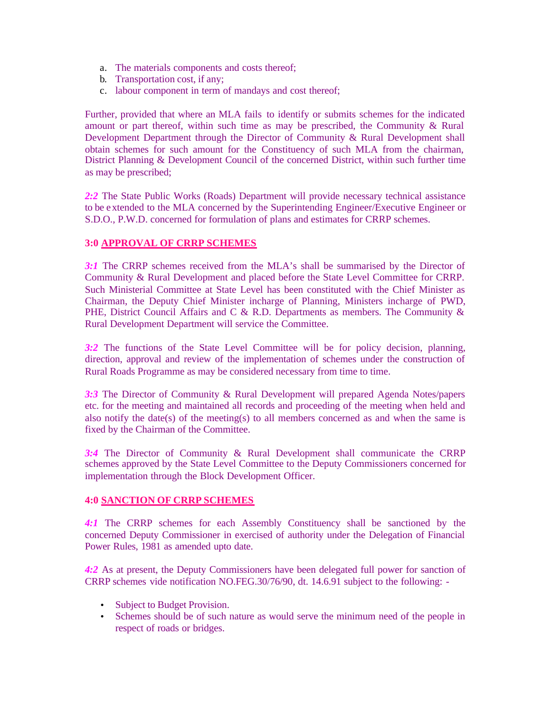- a. The materials components and costs thereof;
- b. Transportation cost, if any;
- c. labour component in term of mandays and cost thereof;

Further, provided that where an MLA fails to identify or submits schemes for the indicated amount or part thereof, within such time as may be prescribed, the Community  $\&$  Rural Development Department through the Director of Community & Rural Development shall obtain schemes for such amount for the Constituency of such MLA from the chairman, District Planning & Development Council of the concerned District, within such further time as may be prescribed;

2:2 The State Public Works (Roads) Department will provide necessary technical assistance to be extended to the MLA concerned by the Superintending Engineer/Executive Engineer or S.D.O., P.W.D. concerned for formulation of plans and estimates for CRRP schemes.

# **3:0 APPROVAL OF CRRP SCHEMES**

*3:1* The CRRP schemes received from the MLA's shall be summarised by the Director of Community & Rural Development and placed before the State Level Committee for CRRP. Such Ministerial Committee at State Level has been constituted with the Chief Minister as Chairman, the Deputy Chief Minister incharge of Planning, Ministers incharge of PWD, PHE, District Council Affairs and C & R.D. Departments as members. The Community & Rural Development Department will service the Committee.

*3:2* The functions of the State Level Committee will be for policy decision, planning, direction, approval and review of the implementation of schemes under the construction of Rural Roads Programme as may be considered necessary from time to time.

*3:3* The Director of Community & Rural Development will prepared Agenda Notes/papers etc. for the meeting and maintained all records and proceeding of the meeting when held and also notify the date(s) of the meeting(s) to all members concerned as and when the same is fixed by the Chairman of the Committee.

*3:4* The Director of Community & Rural Development shall communicate the CRRP schemes approved by the State Level Committee to the Deputy Commissioners concerned for implementation through the Block Development Officer.

# **4:0 SANCTION OF CRRP SCHEMES**

*4:1* The CRRP schemes for each Assembly Constituency shall be sanctioned by the concerned Deputy Commissioner in exercised of authority under the Delegation of Financial Power Rules, 1981 as amended upto date.

*4:2* As at present, the Deputy Commissioners have been delegated full power for sanction of CRRP schemes vide notification NO.FEG.30/76/90, dt. 14.6.91 subject to the following: -

- Subject to Budget Provision.
- Schemes should be of such nature as would serve the minimum need of the people in respect of roads or bridges.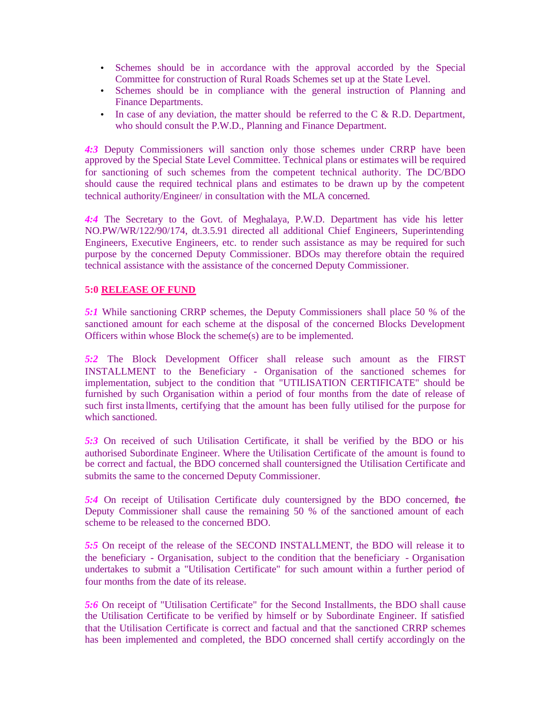- Schemes should be in accordance with the approval accorded by the Special Committee for construction of Rural Roads Schemes set up at the State Level.
- Schemes should be in compliance with the general instruction of Planning and Finance Departments.
- In case of any deviation, the matter should be referred to the  $C & R.D$ . Department, who should consult the P.W.D., Planning and Finance Department.

*4:3* Deputy Commissioners will sanction only those schemes under CRRP have been approved by the Special State Level Committee. Technical plans or estimates will be required for sanctioning of such schemes from the competent technical authority. The DC/BDO should cause the required technical plans and estimates to be drawn up by the competent technical authority/Engineer/ in consultation with the MLA concerned.

*4:4* The Secretary to the Govt. of Meghalaya, P.W.D. Department has vide his letter NO.PW/WR/122/90/174, dt.3.5.91 directed all additional Chief Engineers, Superintending Engineers, Executive Engineers, etc. to render such assistance as may be required for such purpose by the concerned Deputy Commissioner. BDOs may therefore obtain the required technical assistance with the assistance of the concerned Deputy Commissioner.

### **5:0 RELEASE OF FUND**

*5:1* While sanctioning CRRP schemes, the Deputy Commissioners shall place 50 % of the sanctioned amount for each scheme at the disposal of the concerned Blocks Development Officers within whose Block the scheme(s) are to be implemented.

*5:2* The Block Development Officer shall release such amount as the FIRST INSTALLMENT to the Beneficiary - Organisation of the sanctioned schemes for implementation, subject to the condition that "UTILISATION CERTIFICATE" should be furnished by such Organisation within a period of four months from the date of release of such first insta llments, certifying that the amount has been fully utilised for the purpose for which sanctioned.

*5:3* On received of such Utilisation Certificate, it shall be verified by the BDO or his authorised Subordinate Engineer. Where the Utilisation Certificate of the amount is found to be correct and factual, the BDO concerned shall countersigned the Utilisation Certificate and submits the same to the concerned Deputy Commissioner.

*5:4* On receipt of Utilisation Certificate duly countersigned by the BDO concerned, the Deputy Commissioner shall cause the remaining 50 % of the sanctioned amount of each scheme to be released to the concerned BDO.

*5:5* On receipt of the release of the SECOND INSTALLMENT, the BDO will release it to the beneficiary - Organisation, subject to the condition that the beneficiary - Organisation undertakes to submit a "Utilisation Certificate" for such amount within a further period of four months from the date of its release.

*5:6* On receipt of "Utilisation Certificate" for the Second Installments, the BDO shall cause the Utilisation Certificate to be verified by himself or by Subordinate Engineer. If satisfied that the Utilisation Certificate is correct and factual and that the sanctioned CRRP schemes has been implemented and completed, the BDO concerned shall certify accordingly on the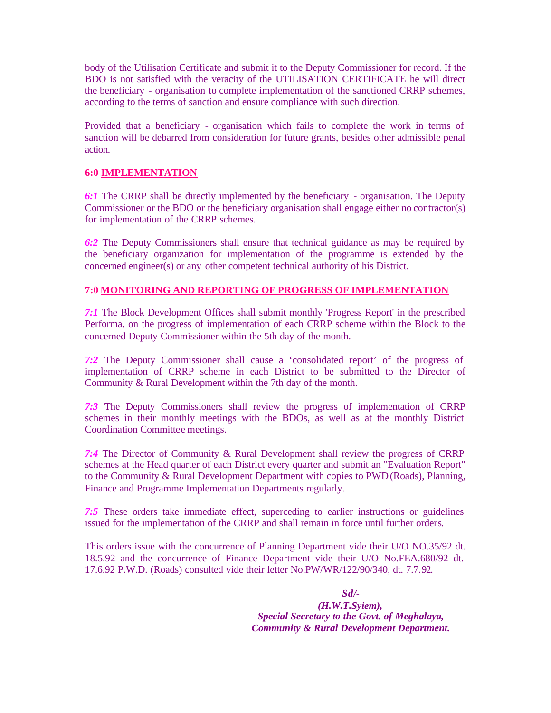body of the Utilisation Certificate and submit it to the Deputy Commissioner for record. If the BDO is not satisfied with the veracity of the UTILISATION CERTIFICATE he will direct the beneficiary - organisation to complete implementation of the sanctioned CRRP schemes, according to the terms of sanction and ensure compliance with such direction.

Provided that a beneficiary - organisation which fails to complete the work in terms of sanction will be debarred from consideration for future grants, besides other admissible penal action.

# **6:0 IMPLEMENTATION**

*6:1* The CRRP shall be directly implemented by the beneficiary - organisation. The Deputy Commissioner or the BDO or the beneficiary organisation shall engage either no contractor(s) for implementation of the CRRP schemes.

*6:2* The Deputy Commissioners shall ensure that technical guidance as may be required by the beneficiary organization for implementation of the programme is extended by the concerned engineer(s) or any other competent technical authority of his District.

### **7:0 MONITORING AND REPORTING OF PROGRESS OF IMPLEMENTATION**

*7:1* The Block Development Offices shall submit monthly 'Progress Report' in the prescribed Performa, on the progress of implementation of each CRRP scheme within the Block to the concerned Deputy Commissioner within the 5th day of the month.

*7:2* The Deputy Commissioner shall cause a 'consolidated report' of the progress of implementation of CRRP scheme in each District to be submitted to the Director of Community & Rural Development within the 7th day of the month.

*7:3* The Deputy Commissioners shall review the progress of implementation of CRRP schemes in their monthly meetings with the BDOs, as well as at the monthly District Coordination Committee meetings.

*7:4* The Director of Community & Rural Development shall review the progress of CRRP schemes at the Head quarter of each District every quarter and submit an "Evaluation Report" to the Community & Rural Development Department with copies to PWD (Roads), Planning, Finance and Programme Implementation Departments regularly.

*7:5* These orders take immediate effect, superceding to earlier instructions or guidelines issued for the implementation of the CRRP and shall remain in force until further orders.

This orders issue with the concurrence of Planning Department vide their U/O NO.35/92 dt. 18.5.92 and the concurrence of Finance Department vide their U/O No.FEA.680/92 dt. 17.6.92 P.W.D. (Roads) consulted vide their letter No.PW/WR/122/90/340, dt. 7.7.92.

> *Sd/- (H.W.T.Syiem), Special Secretary to the Govt. of Meghalaya, Community & Rural Development Department.*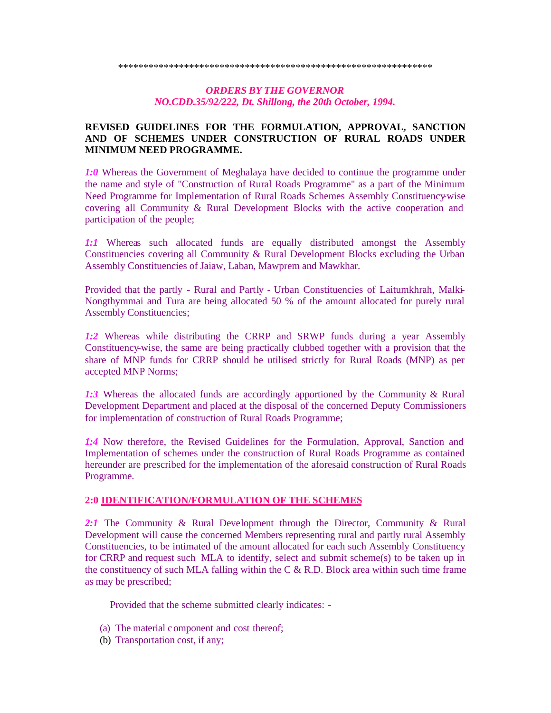## *ORDERS BY THE GOVERNOR NO.CDD.35/92/222, Dt. Shillong, the 20th October, 1994.*

# **REVISED GUIDELINES FOR THE FORMULATION, APPROVAL, SANCTION AND OF SCHEMES UNDER CONSTRUCTION OF RURAL ROADS UNDER MINIMUM NEED PROGRAMME.**

*1:0* Whereas the Government of Meghalaya have decided to continue the programme under the name and style of "Construction of Rural Roads Programme" as a part of the Minimum Need Programme for Implementation of Rural Roads Schemes Assembly Constituency-wise covering all Community & Rural Development Blocks with the active cooperation and participation of the people;

*1:1* Whereas such allocated funds are equally distributed amongst the Assembly Constituencies covering all Community & Rural Development Blocks excluding the Urban Assembly Constituencies of Jaiaw, Laban, Mawprem and Mawkhar.

Provided that the partly - Rural and Partly - Urban Constituencies of Laitumkhrah, Malki-Nongthymmai and Tura are being allocated 50 % of the amount allocated for purely rural Assembly Constituencies;

*1:2* Whereas while distributing the CRRP and SRWP funds during a year Assembly Constituency-wise, the same are being practically clubbed together with a provision that the share of MNP funds for CRRP should be utilised strictly for Rural Roads (MNP) as per accepted MNP Norms;

*1:3* Whereas the allocated funds are accordingly apportioned by the Community & Rural Development Department and placed at the disposal of the concerned Deputy Commissioners for implementation of construction of Rural Roads Programme;

*1:4* Now therefore, the Revised Guidelines for the Formulation, Approval, Sanction and Implementation of schemes under the construction of Rural Roads Programme as contained hereunder are prescribed for the implementation of the aforesaid construction of Rural Roads Programme.

#### **2:0 IDENTIFICATION/FORMULATION OF THE SCHEMES**

*2:1* The Community & Rural Development through the Director, Community & Rural Development will cause the concerned Members representing rural and partly rural Assembly Constituencies, to be intimated of the amount allocated for each such Assembly Constituency for CRRP and request such MLA to identify, select and submit scheme(s) to be taken up in the constituency of such MLA falling within the C  $\&$  R.D. Block area within such time frame as may be prescribed;

Provided that the scheme submitted clearly indicates: -

- (a) The material component and cost thereof;
- (b) Transportation cost, if any;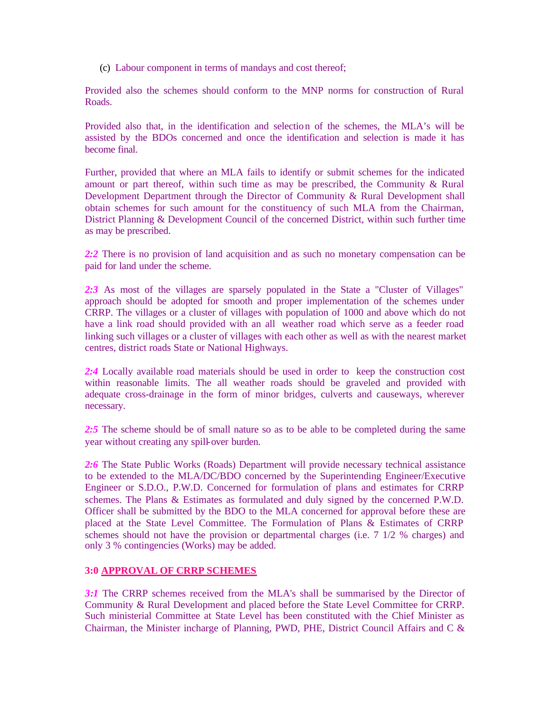(c) Labour component in terms of mandays and cost thereof;

Provided also the schemes should conform to the MNP norms for construction of Rural Roads.

Provided also that, in the identification and selection of the schemes, the MLA's will be assisted by the BDOs concerned and once the identification and selection is made it has become final.

Further, provided that where an MLA fails to identify or submit schemes for the indicated amount or part thereof, within such time as may be prescribed, the Community & Rural Development Department through the Director of Community & Rural Development shall obtain schemes for such amount for the constituency of such MLA from the Chairman, District Planning & Development Council of the concerned District, within such further time as may be prescribed.

2:2 There is no provision of land acquisition and as such no monetary compensation can be paid for land under the scheme.

2:3 As most of the villages are sparsely populated in the State a "Cluster of Villages" approach should be adopted for smooth and proper implementation of the schemes under CRRP. The villages or a cluster of villages with population of 1000 and above which do not have a link road should provided with an all weather road which serve as a feeder road linking such villages or a cluster of villages with each other as well as with the nearest market centres, district roads State or National Highways.

*2:4* Locally available road materials should be used in order to keep the construction cost within reasonable limits. The all weather roads should be graveled and provided with adequate cross-drainage in the form of minor bridges, culverts and causeways, wherever necessary.

2:5 The scheme should be of small nature so as to be able to be completed during the same year without creating any spill-over burden.

*2:6* The State Public Works (Roads) Department will provide necessary technical assistance to be extended to the MLA/DC/BDO concerned by the Superintending Engineer/Executive Engineer or S.D.O., P.W.D. Concerned for formulation of plans and estimates for CRRP schemes. The Plans & Estimates as formulated and duly signed by the concerned P.W.D. Officer shall be submitted by the BDO to the MLA concerned for approval before these are placed at the State Level Committee. The Formulation of Plans & Estimates of CRRP schemes should not have the provision or departmental charges (i.e. 7 1/2 % charges) and only 3 % contingencies (Works) may be added.

# **3:0 APPROVAL OF CRRP SCHEMES**

*3:1* The CRRP schemes received from the MLA's shall be summarised by the Director of Community & Rural Development and placed before the State Level Committee for CRRP. Such ministerial Committee at State Level has been constituted with the Chief Minister as Chairman, the Minister incharge of Planning, PWD, PHE, District Council Affairs and C &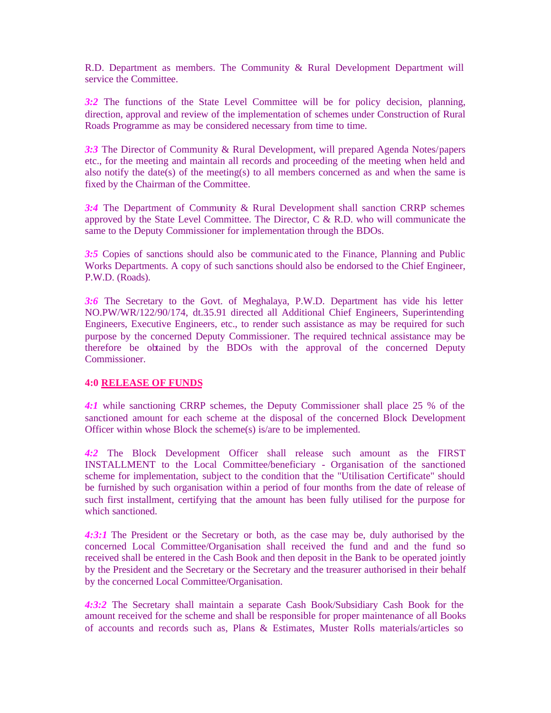R.D. Department as members. The Community & Rural Development Department will service the Committee.

*3:2* The functions of the State Level Committee will be for policy decision, planning, direction, approval and review of the implementation of schemes under Construction of Rural Roads Programme as may be considered necessary from time to time.

*3:3* The Director of Community & Rural Development, will prepared Agenda Notes/papers etc., for the meeting and maintain all records and proceeding of the meeting when held and also notify the date(s) of the meeting(s) to all members concerned as and when the same is fixed by the Chairman of the Committee.

*3:4* The Department of Community & Rural Development shall sanction CRRP schemes approved by the State Level Committee. The Director, C  $\&$  R.D. who will communicate the same to the Deputy Commissioner for implementation through the BDOs.

*3:5* Copies of sanctions should also be communic ated to the Finance, Planning and Public Works Departments. A copy of such sanctions should also be endorsed to the Chief Engineer, P.W.D. (Roads).

*3:6* The Secretary to the Govt. of Meghalaya, P.W.D. Department has vide his letter NO.PW/WR/122/90/174, dt.3.5.91 directed all Additional Chief Engineers, Superintending Engineers, Executive Engineers, etc., to render such assistance as may be required for such purpose by the concerned Deputy Commissioner. The required technical assistance may be therefore be obtained by the BDOs with the approval of the concerned Deputy Commissioner.

#### **4:0 RELEASE OF FUNDS**

*4:1* while sanctioning CRRP schemes, the Deputy Commissioner shall place 25 % of the sanctioned amount for each scheme at the disposal of the concerned Block Development Officer within whose Block the scheme(s) is/are to be implemented.

*4:2* The Block Development Officer shall release such amount as the FIRST INSTALLMENT to the Local Committee/beneficiary - Organisation of the sanctioned scheme for implementation, subject to the condition that the "Utilisation Certificate" should be furnished by such organisation within a period of four months from the date of release of such first installment, certifying that the amount has been fully utilised for the purpose for which sanctioned.

*4:3:1* The President or the Secretary or both, as the case may be, duly authorised by the concerned Local Committee/Organisation shall received the fund and and the fund so received shall be entered in the Cash Book and then deposit in the Bank to be operated jointly by the President and the Secretary or the Secretary and the treasurer authorised in their behalf by the concerned Local Committee/Organisation.

*4:3:2* The Secretary shall maintain a separate Cash Book/Subsidiary Cash Book for the amount received for the scheme and shall be responsible for proper maintenance of all Books of accounts and records such as, Plans & Estimates, Muster Rolls materials/articles so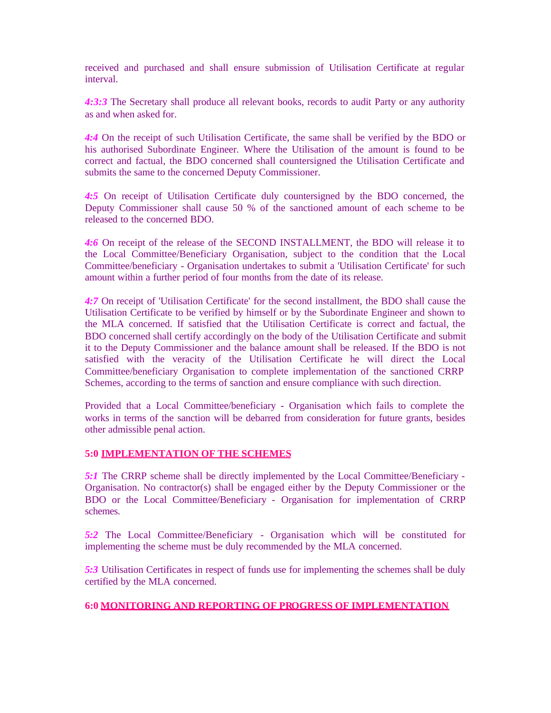received and purchased and shall ensure submission of Utilisation Certificate at regular interval.

*4:3:3* The Secretary shall produce all relevant books, records to audit Party or any authority as and when asked for.

*4:4* On the receipt of such Utilisation Certificate, the same shall be verified by the BDO or his authorised Subordinate Engineer. Where the Utilisation of the amount is found to be correct and factual, the BDO concerned shall countersigned the Utilisation Certificate and submits the same to the concerned Deputy Commissioner.

*4:5* On receipt of Utilisation Certificate duly countersigned by the BDO concerned, the Deputy Commissioner shall cause 50 % of the sanctioned amount of each scheme to be released to the concerned BDO.

*4:6* On receipt of the release of the SECOND INSTALLMENT, the BDO will release it to the Local Committee/Beneficiary Organisation, subject to the condition that the Local Committee/beneficiary - Organisation undertakes to submit a 'Utilisation Certificate' for such amount within a further period of four months from the date of its release.

*4:7* On receipt of 'Utilisation Certificate' for the second installment, the BDO shall cause the Utilisation Certificate to be verified by himself or by the Subordinate Engineer and shown to the MLA concerned. If satisfied that the Utilisation Certificate is correct and factual, the BDO concerned shall certify accordingly on the body of the Utilisation Certificate and submit it to the Deputy Commissioner and the balance amount shall be released. If the BDO is not satisfied with the veracity of the Utilisation Certificate he will direct the Local Committee/beneficiary Organisation to complete implementation of the sanctioned CRRP Schemes, according to the terms of sanction and ensure compliance with such direction.

Provided that a Local Committee/beneficiary - Organisation which fails to complete the works in terms of the sanction will be debarred from consideration for future grants, besides other admissible penal action.

# **5:0 IMPLEMENTATION OF THE SCHEMES**

*5:1* The CRRP scheme shall be directly implemented by the Local Committee/Beneficiary - Organisation. No contractor(s) shall be engaged either by the Deputy Commissioner or the BDO or the Local Committee/Beneficiary - Organisation for implementation of CRRP schemes.

*5:2* The Local Committee/Beneficiary - Organisation which will be constituted for implementing the scheme must be duly recommended by the MLA concerned.

*5:3* Utilisation Certificates in respect of funds use for implementing the schemes shall be duly certified by the MLA concerned.

# **6:0 MONITORING AND REPORTING OF PROGRESS OF IMPLEMENTATION**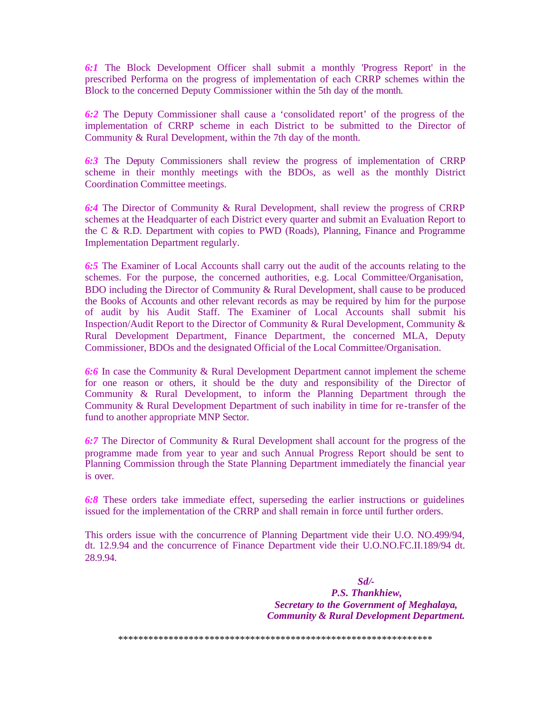*6:1* The Block Development Officer shall submit a monthly 'Progress Report' in the prescribed Performa on the progress of implementation of each CRRP schemes within the Block to the concerned Deputy Commissioner within the 5th day of the month.

*6:2* The Deputy Commissioner shall cause a 'consolidated report' of the progress of the implementation of CRRP scheme in each District to be submitted to the Director of Community & Rural Development, within the 7th day of the month.

*6:3* The Deputy Commissioners shall review the progress of implementation of CRRP scheme in their monthly meetings with the BDOs, as well as the monthly District Coordination Committee meetings.

*6:4* The Director of Community & Rural Development, shall review the progress of CRRP schemes at the Headquarter of each District every quarter and submit an Evaluation Report to the C & R.D. Department with copies to PWD (Roads), Planning, Finance and Programme Implementation Department regularly.

*6:5* The Examiner of Local Accounts shall carry out the audit of the accounts relating to the schemes. For the purpose, the concerned authorities, e.g. Local Committee/Organisation, BDO including the Director of Community & Rural Development, shall cause to be produced the Books of Accounts and other relevant records as may be required by him for the purpose of audit by his Audit Staff. The Examiner of Local Accounts shall submit his Inspection/Audit Report to the Director of Community & Rural Development, Community & Rural Development Department, Finance Department, the concerned MLA, Deputy Commissioner, BDOs and the designated Official of the Local Committee/Organisation.

*6:6* In case the Community & Rural Development Department cannot implement the scheme for one reason or others, it should be the duty and responsibility of the Director of Community & Rural Development, to inform the Planning Department through the Community & Rural Development Department of such inability in time for re-transfer of the fund to another appropriate MNP Sector.

*6:7* The Director of Community & Rural Development shall account for the progress of the programme made from year to year and such Annual Progress Report should be sent to Planning Commission through the State Planning Department immediately the financial year is over.

*6:8* These orders take immediate effect, superseding the earlier instructions or guidelines issued for the implementation of the CRRP and shall remain in force until further orders.

This orders issue with the concurrence of Planning Department vide their U.O. NO.499/94, dt. 12.9.94 and the concurrence of Finance Department vide their U.O.NO.FC.II.189/94 dt. 28.9.94.

> *Sd/- P.S. Thankhiew, Secretary to the Government of Meghalaya, Community & Rural Development Department.*

\*\*\*\*\*\*\*\*\*\*\*\*\*\*\*\*\*\*\*\*\*\*\*\*\*\*\*\*\*\*\*\*\*\*\*\*\*\*\*\*\*\*\*\*\*\*\*\*\*\*\*\*\*\*\*\*\*\*\*\*\*\*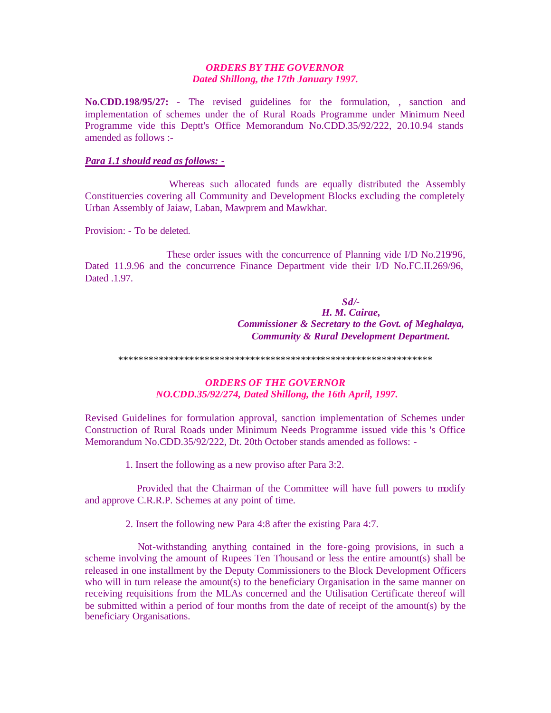## *ORDERS BY THE GOVERNOR Dated Shillong, the 17th January 1997.*

**No.CDD.198/95/27:** - The revised guidelines for the formulation, , sanction and implementation of schemes under the of Rural Roads Programme under Minimum Need Programme vide this Deptt's Office Memorandum No.CDD.35/92/222, 20.10.94 stands amended as follows :-

## *Para 1.1 should read as follows: -*

 Whereas such allocated funds are equally distributed the Assembly Constituencies covering all Community and Development Blocks excluding the completely Urban Assembly of Jaiaw, Laban, Mawprem and Mawkhar.

Provision: - To be deleted.

 These order issues with the concurrence of Planning vide I/D No.219/96, Dated 11.9.96 and the concurrence Finance Department vide their I/D No.FC.II.269/96, Dated .1.97.

> *Sd/- H. M. Cairae, Commissioner & Secretary to the Govt. of Meghalaya, Community & Rural Development Department.*

\*\*\*\*\*\*\*\*\*\*\*\*\*\*\*\*\*\*\*\*\*\*\*\*\*\*\*\*\*\*\*\*\*\*\*\*\*\*\*\*\*\*\*\*\*\*\*\*\*\*\*\*\*\*\*\*\*\*\*\*\*\*

# *ORDERS OF THE GOVERNOR NO.CDD.35/92/274, Dated Shillong, the 16th April, 1997.*

Revised Guidelines for formulation approval, sanction implementation of Schemes under Construction of Rural Roads under Minimum Needs Programme issued vide this 's Office Memorandum No.CDD.35/92/222, Dt. 20th October stands amended as follows: -

1. Insert the following as a new proviso after Para 3:2.

 Provided that the Chairman of the Committee will have full powers to modify and approve C.R.R.P. Schemes at any point of time.

2. Insert the following new Para 4:8 after the existing Para 4:7.

 Not-withstanding anything contained in the fore-going provisions, in such a scheme involving the amount of Rupees Ten Thousand or less the entire amount(s) shall be released in one installment by the Deputy Commissioners to the Block Development Officers who will in turn release the amount(s) to the beneficiary Organisation in the same manner on receiving requisitions from the MLAs concerned and the Utilisation Certificate thereof will be submitted within a period of four months from the date of receipt of the amount(s) by the beneficiary Organisations.